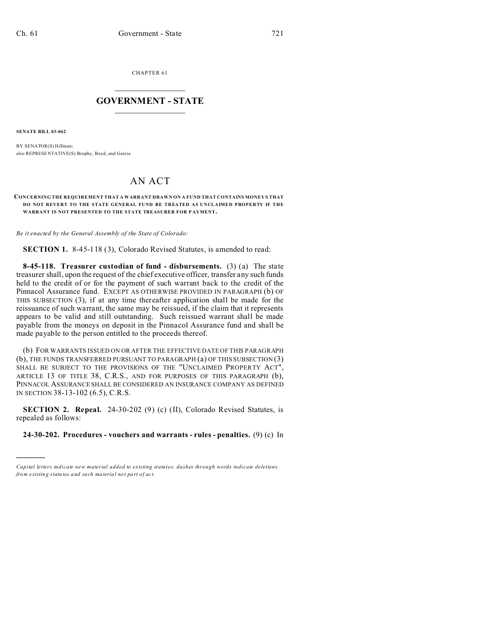CHAPTER 61  $\overline{\phantom{a}}$  , where  $\overline{\phantom{a}}$ 

## **GOVERNMENT - STATE**  $\_$   $\_$

**SENATE BILL 03-062**

)))))

BY SENATOR(S) Hillman; also REPRESE NTATIVE(S) Brophy, Boyd, and Garcia.

## AN ACT

## **CONCERNING THE REQUIREMENT THAT A WARRANT DRAWN ON A FUND THAT CONTAINS MONEY S THAT DO NOT REVERT TO THE STATE GENERAL FUND BE TREATED AS UNCLAIMED PROPERTY IF THE WARRANT IS NOT PRESENTED TO THE STATE TREASURER FOR P AYMENT.**

*Be it enacted by the General Assembly of the State of Colorado:*

**SECTION 1.** 8-45-118 (3), Colorado Revised Statutes, is amended to read:

**8-45-118. Treasurer custodian of fund - disbursements.** (3) (a) The state treasurer shall, upon the request of the chief executive officer, transfer any such funds held to the credit of or for the payment of such warrant back to the credit of the Pinnacol Assurance fund. EXCEPT AS OTHERWISE PROVIDED IN PARAGRAPH (b) OF THIS SUBSECTION (3), if at any time thereafter application shall be made for the reissuance of such warrant, the same may be reissued, if the claim that it represents appears to be valid and still outstanding. Such reissued warrant shall be made payable from the moneys on deposit in the Pinnacol Assurance fund and shall be made payable to the person entitled to the proceeds thereof.

(b) FOR WARRANTS ISSUED ON OR AFTER THE EFFECTIVE DATE OF THIS PARAGRAPH (b), THE FUNDS TRANSFERRED PURSUANT TO PARAGRAPH (a) OF THIS SUBSECTION (3) SHALL BE SUBJECT TO THE PROVISIONS OF THE "UNCLAIMED PROPERTY ACT", ARTICLE 13 OF TITLE 38, C.R.S., AND FOR PURPOSES OF THIS PARAGRAPH (b), PINNACOL ASSURANCE SHALL BE CONSIDERED AN INSURANCE COMPANY AS DEFINED IN SECTION 38-13-102 (6.5), C.R.S.

**SECTION 2. Repeal.** 24-30-202 (9) (c) (II), Colorado Revised Statutes, is repealed as follows:

**24-30-202. Procedures - vouchers and warrants - rules - penalties.** (9) (c) In

*Capital letters indicate new material added to existing statutes; dashes through words indicate deletions from e xistin g statu tes a nd such ma teria l no t pa rt of ac t.*